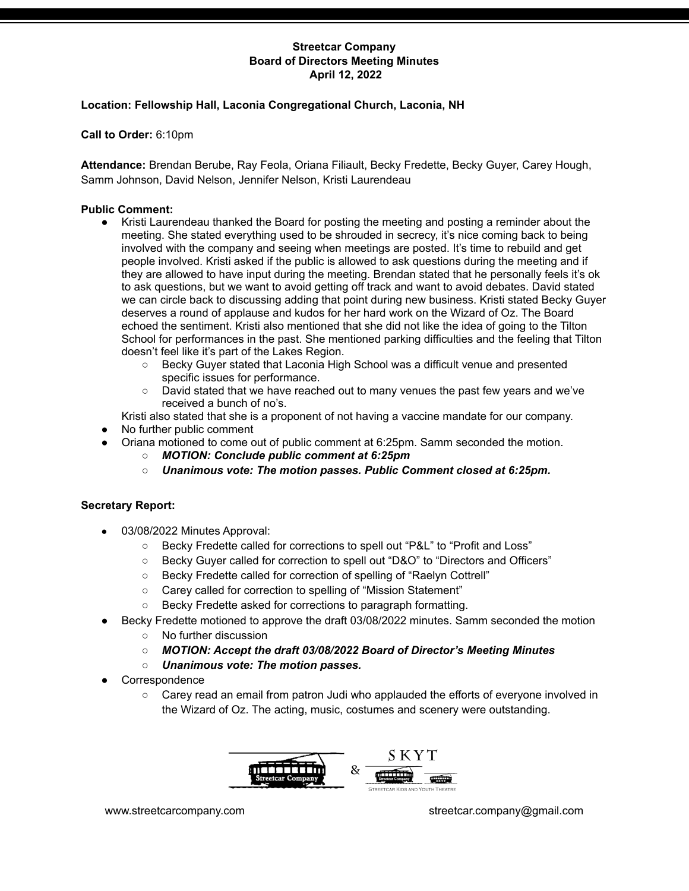# **Location: Fellowship Hall, Laconia Congregational Church, Laconia, NH**

**Call to Order:** 6:10pm

**Attendance:** Brendan Berube, Ray Feola, Oriana Filiault, Becky Fredette, Becky Guyer, Carey Hough, Samm Johnson, David Nelson, Jennifer Nelson, Kristi Laurendeau

### **Public Comment:**

- Kristi Laurendeau thanked the Board for posting the meeting and posting a reminder about the meeting. She stated everything used to be shrouded in secrecy, it's nice coming back to being involved with the company and seeing when meetings are posted. It's time to rebuild and get people involved. Kristi asked if the public is allowed to ask questions during the meeting and if they are allowed to have input during the meeting. Brendan stated that he personally feels it's ok to ask questions, but we want to avoid getting off track and want to avoid debates. David stated we can circle back to discussing adding that point during new business. Kristi stated Becky Guyer deserves a round of applause and kudos for her hard work on the Wizard of Oz. The Board echoed the sentiment. Kristi also mentioned that she did not like the idea of going to the Tilton School for performances in the past. She mentioned parking difficulties and the feeling that Tilton doesn't feel like it's part of the Lakes Region.
	- Becky Guyer stated that Laconia High School was a difficult venue and presented specific issues for performance.
	- David stated that we have reached out to many venues the past few years and we've received a bunch of no's.

Kristi also stated that she is a proponent of not having a vaccine mandate for our company.

- No further public comment
	- Oriana motioned to come out of public comment at 6:25pm. Samm seconded the motion.
		- *MOTION: Conclude public comment at 6:25pm*
		- *○ Unanimous vote: The motion passes. Public Comment closed at 6:25pm.*

### **Secretary Report:**

- 03/08/2022 Minutes Approval:
	- Becky Fredette called for corrections to spell out "P&L" to "Profit and Loss"
	- Becky Guyer called for correction to spell out "D&O" to "Directors and Officers"
	- Becky Fredette called for correction of spelling of "Raelyn Cottrell"
	- Carey called for correction to spelling of "Mission Statement"
	- Becky Fredette asked for corrections to paragraph formatting.
- Becky Fredette motioned to approve the draft 03/08/2022 minutes. Samm seconded the motion
	- No further discussion
	- *MOTION: Accept the draft 03/08/2022 Board of Director's Meeting Minutes*
	- *○ Unanimous vote: The motion passes.*
- Correspondence
	- $\circ$  Carey read an email from patron Judi who applauded the efforts of everyone involved in the Wizard of Oz. The acting, music, costumes and scenery were outstanding.

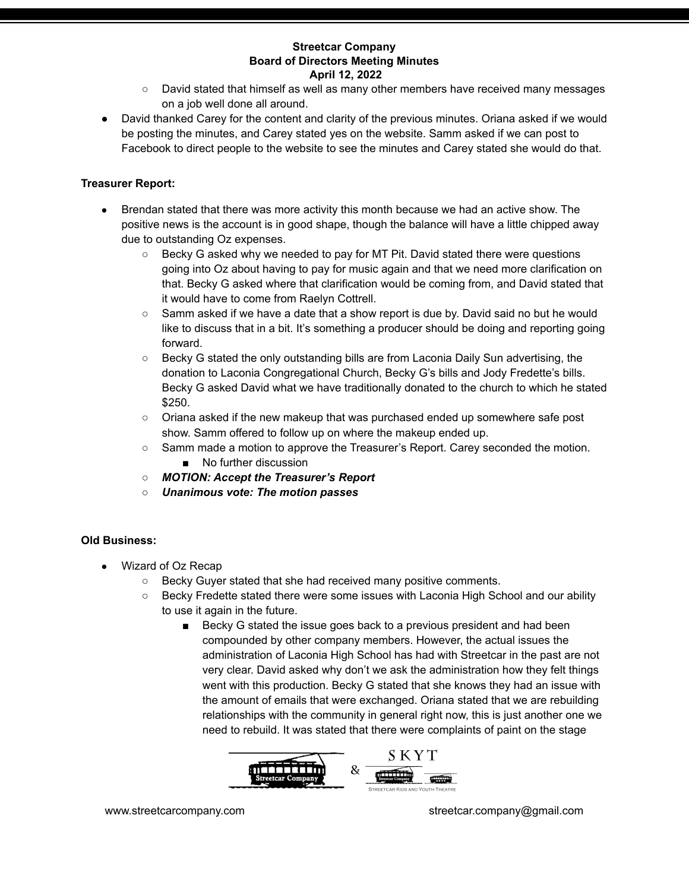- David stated that himself as well as many other members have received many messages on a job well done all around.
- David thanked Carey for the content and clarity of the previous minutes. Oriana asked if we would be posting the minutes, and Carey stated yes on the website. Samm asked if we can post to Facebook to direct people to the website to see the minutes and Carey stated she would do that.

# **Treasurer Report:**

- Brendan stated that there was more activity this month because we had an active show. The positive news is the account is in good shape, though the balance will have a little chipped away due to outstanding Oz expenses.
	- Becky G asked why we needed to pay for MT Pit. David stated there were questions going into Oz about having to pay for music again and that we need more clarification on that. Becky G asked where that clarification would be coming from, and David stated that it would have to come from Raelyn Cottrell.
	- Samm asked if we have a date that a show report is due by. David said no but he would like to discuss that in a bit. It's something a producer should be doing and reporting going forward.
	- Becky G stated the only outstanding bills are from Laconia Daily Sun advertising, the donation to Laconia Congregational Church, Becky G's bills and Jody Fredette's bills. Becky G asked David what we have traditionally donated to the church to which he stated \$250.
	- Oriana asked if the new makeup that was purchased ended up somewhere safe post show. Samm offered to follow up on where the makeup ended up.
	- Samm made a motion to approve the Treasurer's Report. Carey seconded the motion. ■ No further discussion
	- *MOTION: Accept the Treasurer's Report*
	- *○ Unanimous vote: The motion passes*

# **Old Business:**

- Wizard of Oz Recap
	- Becky Guyer stated that she had received many positive comments.
	- Becky Fredette stated there were some issues with Laconia High School and our ability to use it again in the future.
		- Becky G stated the issue goes back to a previous president and had been compounded by other company members. However, the actual issues the administration of Laconia High School has had with Streetcar in the past are not very clear. David asked why don't we ask the administration how they felt things went with this production. Becky G stated that she knows they had an issue with the amount of emails that were exchanged. Oriana stated that we are rebuilding relationships with the community in general right now, this is just another one we need to rebuild. It was stated that there were complaints of paint on the stage

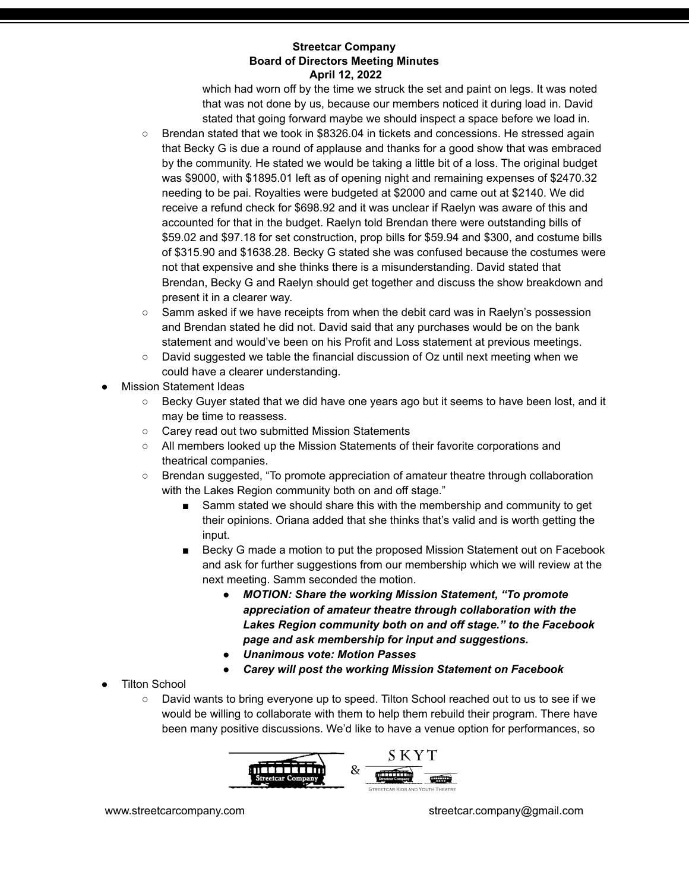which had worn off by the time we struck the set and paint on legs. It was noted that was not done by us, because our members noticed it during load in. David stated that going forward maybe we should inspect a space before we load in.

- Brendan stated that we took in \$8326.04 in tickets and concessions. He stressed again that Becky G is due a round of applause and thanks for a good show that was embraced by the community. He stated we would be taking a little bit of a loss. The original budget was \$9000, with \$1895.01 left as of opening night and remaining expenses of \$2470.32 needing to be pai. Royalties were budgeted at \$2000 and came out at \$2140. We did receive a refund check for \$698.92 and it was unclear if Raelyn was aware of this and accounted for that in the budget. Raelyn told Brendan there were outstanding bills of \$59.02 and \$97.18 for set construction, prop bills for \$59.94 and \$300, and costume bills of \$315.90 and \$1638.28. Becky G stated she was confused because the costumes were not that expensive and she thinks there is a misunderstanding. David stated that Brendan, Becky G and Raelyn should get together and discuss the show breakdown and present it in a clearer way.
- Samm asked if we have receipts from when the debit card was in Raelyn's possession and Brendan stated he did not. David said that any purchases would be on the bank statement and would've been on his Profit and Loss statement at previous meetings.
- $\circ$  David suggested we table the financial discussion of Oz until next meeting when we could have a clearer understanding.
- **Mission Statement Ideas** 
	- Becky Guyer stated that we did have one years ago but it seems to have been lost, and it may be time to reassess.
	- Carey read out two submitted Mission Statements
	- All members looked up the Mission Statements of their favorite corporations and theatrical companies.
	- Brendan suggested, "To promote appreciation of amateur theatre through collaboration with the Lakes Region community both on and off stage."
		- Samm stated we should share this with the membership and community to get their opinions. Oriana added that she thinks that's valid and is worth getting the input.
		- Becky G made a motion to put the proposed Mission Statement out on Facebook and ask for further suggestions from our membership which we will review at the next meeting. Samm seconded the motion.
			- *MOTION: Share the working Mission Statement, "To promote appreciation of amateur theatre through collaboration with the Lakes Region community both on and off stage." to the Facebook page and ask membership for input and suggestions.*
			- *Unanimous vote: Motion Passes*
			- *● Carey will post the working Mission Statement on Facebook*
- **Tilton School** 
	- David wants to bring everyone up to speed. Tilton School reached out to us to see if we would be willing to collaborate with them to help them rebuild their program. There have been many positive discussions. We'd like to have a venue option for performances, so



www.streetcarcompany.com streetcar.company@gmail.com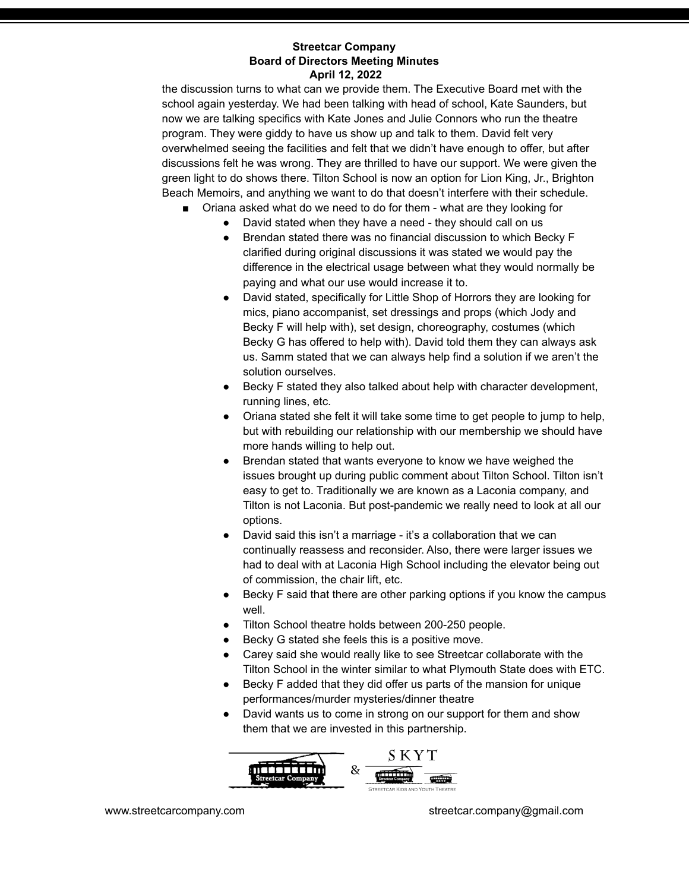the discussion turns to what can we provide them. The Executive Board met with the school again yesterday. We had been talking with head of school, Kate Saunders, but now we are talking specifics with Kate Jones and Julie Connors who run the theatre program. They were giddy to have us show up and talk to them. David felt very overwhelmed seeing the facilities and felt that we didn't have enough to offer, but after discussions felt he was wrong. They are thrilled to have our support. We were given the green light to do shows there. Tilton School is now an option for Lion King, Jr., Brighton Beach Memoirs, and anything we want to do that doesn't interfere with their schedule.

- Oriana asked what do we need to do for them what are they looking for
	- David stated when they have a need they should call on us
	- Brendan stated there was no financial discussion to which Becky F clarified during original discussions it was stated we would pay the difference in the electrical usage between what they would normally be paying and what our use would increase it to.
	- David stated, specifically for Little Shop of Horrors they are looking for mics, piano accompanist, set dressings and props (which Jody and Becky F will help with), set design, choreography, costumes (which Becky G has offered to help with). David told them they can always ask us. Samm stated that we can always help find a solution if we aren't the solution ourselves.
	- Becky F stated they also talked about help with character development, running lines, etc.
	- Oriana stated she felt it will take some time to get people to jump to help, but with rebuilding our relationship with our membership we should have more hands willing to help out.
	- Brendan stated that wants everyone to know we have weighed the issues brought up during public comment about Tilton School. Tilton isn't easy to get to. Traditionally we are known as a Laconia company, and Tilton is not Laconia. But post-pandemic we really need to look at all our options.
	- David said this isn't a marriage it's a collaboration that we can continually reassess and reconsider. Also, there were larger issues we had to deal with at Laconia High School including the elevator being out of commission, the chair lift, etc.
	- Becky F said that there are other parking options if you know the campus well.
	- Tilton School theatre holds between 200-250 people.
	- Becky G stated she feels this is a positive move.
	- Carey said she would really like to see Streetcar collaborate with the Tilton School in the winter similar to what Plymouth State does with ETC.
	- Becky F added that they did offer us parts of the mansion for unique performances/murder mysteries/dinner theatre
	- David wants us to come in strong on our support for them and show them that we are invested in this partnership.

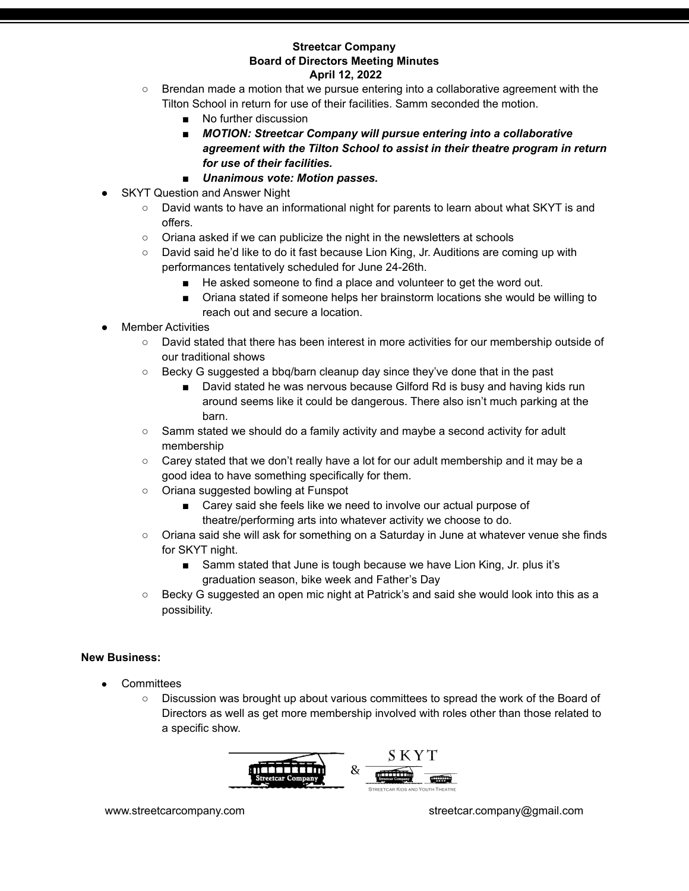- Brendan made a motion that we pursue entering into a collaborative agreement with the Tilton School in return for use of their facilities. Samm seconded the motion.
	- No further discussion
	- *MOTION: Streetcar Company will pursue entering into a collaborative agreement with the Tilton School to assist in their theatre program in return for use of their facilities.*
	- *Unanimous vote: Motion passes.*
- **SKYT Question and Answer Night** 
	- David wants to have an informational night for parents to learn about what SKYT is and offers.
	- Oriana asked if we can publicize the night in the newsletters at schools
	- David said he'd like to do it fast because Lion King, Jr. Auditions are coming up with performances tentatively scheduled for June 24-26th.
		- He asked someone to find a place and volunteer to get the word out.
		- Oriana stated if someone helps her brainstorm locations she would be willing to reach out and secure a location.
- **Member Activities** 
	- David stated that there has been interest in more activities for our membership outside of our traditional shows
	- Becky G suggested a bbq/barn cleanup day since they've done that in the past
		- David stated he was nervous because Gilford Rd is busy and having kids run around seems like it could be dangerous. There also isn't much parking at the barn.
	- Samm stated we should do a family activity and maybe a second activity for adult membership
	- $\circ$  Carey stated that we don't really have a lot for our adult membership and it may be a good idea to have something specifically for them.
	- Oriana suggested bowling at Funspot
		- Carey said she feels like we need to involve our actual purpose of theatre/performing arts into whatever activity we choose to do.
	- Oriana said she will ask for something on a Saturday in June at whatever venue she finds for SKYT night.
		- Samm stated that June is tough because we have Lion King, Jr. plus it's graduation season, bike week and Father's Day
	- Becky G suggested an open mic night at Patrick's and said she would look into this as a possibility.

# **New Business:**

- Committees
	- Discussion was brought up about various committees to spread the work of the Board of Directors as well as get more membership involved with roles other than those related to a specific show.

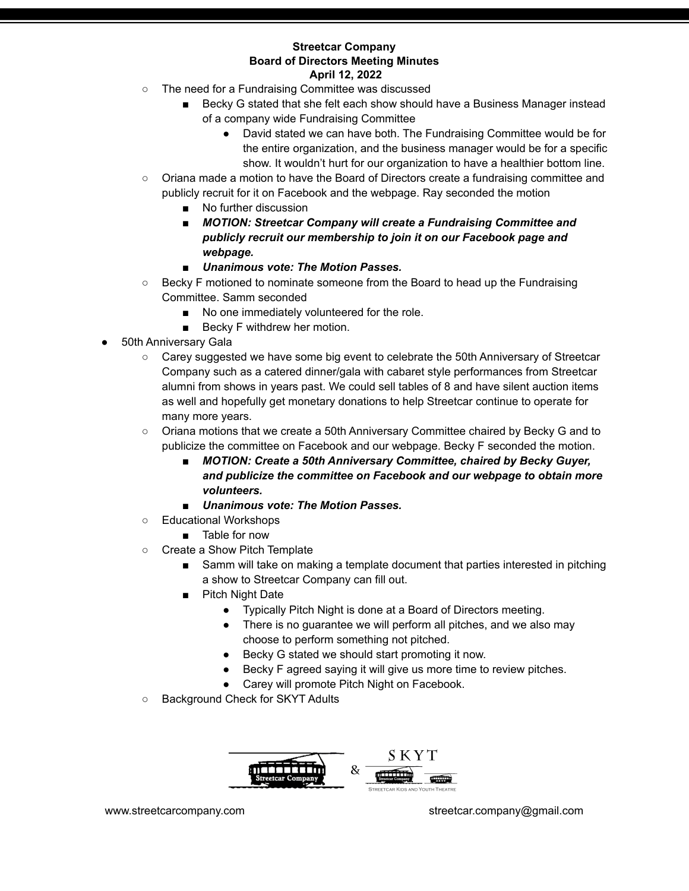- The need for a Fundraising Committee was discussed
	- Becky G stated that she felt each show should have a Business Manager instead of a company wide Fundraising Committee
		- David stated we can have both. The Fundraising Committee would be for the entire organization, and the business manager would be for a specific show. It wouldn't hurt for our organization to have a healthier bottom line.
- Oriana made a motion to have the Board of Directors create a fundraising committee and publicly recruit for it on Facebook and the webpage. Ray seconded the motion
	- No further discussion
	- *MOTION: Streetcar Company will create a Fundraising Committee and publicly recruit our membership to join it on our Facebook page and webpage.*
	- *Unanimous vote: The Motion Passes.*
- Becky F motioned to nominate someone from the Board to head up the Fundraising Committee. Samm seconded
	- No one immediately volunteered for the role.
	- Becky F withdrew her motion.
- 50th Anniversary Gala
	- Carey suggested we have some big event to celebrate the 50th Anniversary of Streetcar Company such as a catered dinner/gala with cabaret style performances from Streetcar alumni from shows in years past. We could sell tables of 8 and have silent auction items as well and hopefully get monetary donations to help Streetcar continue to operate for many more years.
	- Oriana motions that we create a 50th Anniversary Committee chaired by Becky G and to publicize the committee on Facebook and our webpage. Becky F seconded the motion.
		- *MOTION: Create a 50th Anniversary Committee, chaired by Becky Guyer, and publicize the committee on Facebook and our webpage to obtain more volunteers.*
		- *Unanimous vote: The Motion Passes.*
	- Educational Workshops
		- Table for now
	- Create a Show Pitch Template
		- Samm will take on making a template document that parties interested in pitching a show to Streetcar Company can fill out.
		- **Pitch Night Date** 
			- Typically Pitch Night is done at a Board of Directors meeting.
			- There is no guarantee we will perform all pitches, and we also may choose to perform something not pitched.
			- Becky G stated we should start promoting it now.
			- Becky F agreed saying it will give us more time to review pitches.
			- Carey will promote Pitch Night on Facebook.
	- Background Check for SKYT Adults